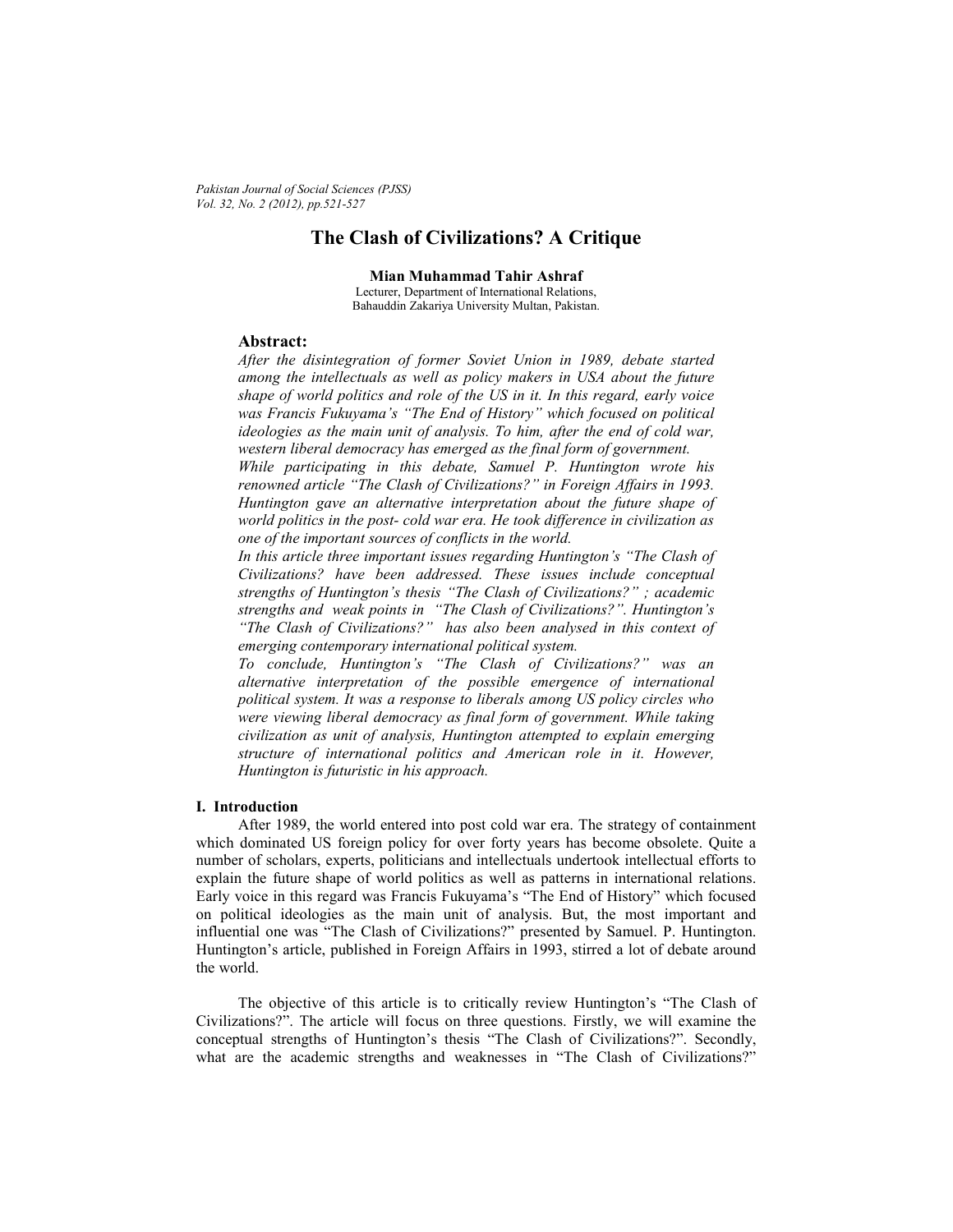*Pakistan Journal of Social Sciences (PJSS) Vol. 32, No. 2 (2012), pp.521-527* 

# **The Clash of Civilizations? A Critique**

**Mian Muhammad Tahir Ashraf** 

Lecturer, Department of International Relations, Bahauddin Zakariya University Multan, Pakistan.

# **Abstract:**

*After the disintegration of former Soviet Union in 1989, debate started among the intellectuals as well as policy makers in USA about the future shape of world politics and role of the US in it. In this regard, early voice was Francis Fukuyama's "The End of History" which focused on political ideologies as the main unit of analysis. To him, after the end of cold war, western liberal democracy has emerged as the final form of government.* 

*While participating in this debate, Samuel P. Huntington wrote his renowned article "The Clash of Civilizations?" in Foreign Affairs in 1993. Huntington gave an alternative interpretation about the future shape of world politics in the post- cold war era. He took difference in civilization as one of the important sources of conflicts in the world.* 

*In this article three important issues regarding Huntington's "The Clash of Civilizations? have been addressed. These issues include conceptual strengths of Huntington's thesis "The Clash of Civilizations?" ; academic strengths and weak points in "The Clash of Civilizations?". Huntington's "The Clash of Civilizations?" has also been analysed in this context of emerging contemporary international political system.* 

*To conclude, Huntington's "The Clash of Civilizations?" was an alternative interpretation of the possible emergence of international political system. It was a response to liberals among US policy circles who were viewing liberal democracy as final form of government. While taking civilization as unit of analysis, Huntington attempted to explain emerging structure of international politics and American role in it. However, Huntington is futuristic in his approach.* 

### **I. Introduction**

 After 1989, the world entered into post cold war era. The strategy of containment which dominated US foreign policy for over forty years has become obsolete. Quite a number of scholars, experts, politicians and intellectuals undertook intellectual efforts to explain the future shape of world politics as well as patterns in international relations. Early voice in this regard was Francis Fukuyama's "The End of History" which focused on political ideologies as the main unit of analysis. But, the most important and influential one was "The Clash of Civilizations?" presented by Samuel. P. Huntington. Huntington's article, published in Foreign Affairs in 1993, stirred a lot of debate around the world.

 The objective of this article is to critically review Huntington's "The Clash of Civilizations?". The article will focus on three questions. Firstly, we will examine the conceptual strengths of Huntington's thesis "The Clash of Civilizations?". Secondly, what are the academic strengths and weaknesses in "The Clash of Civilizations?"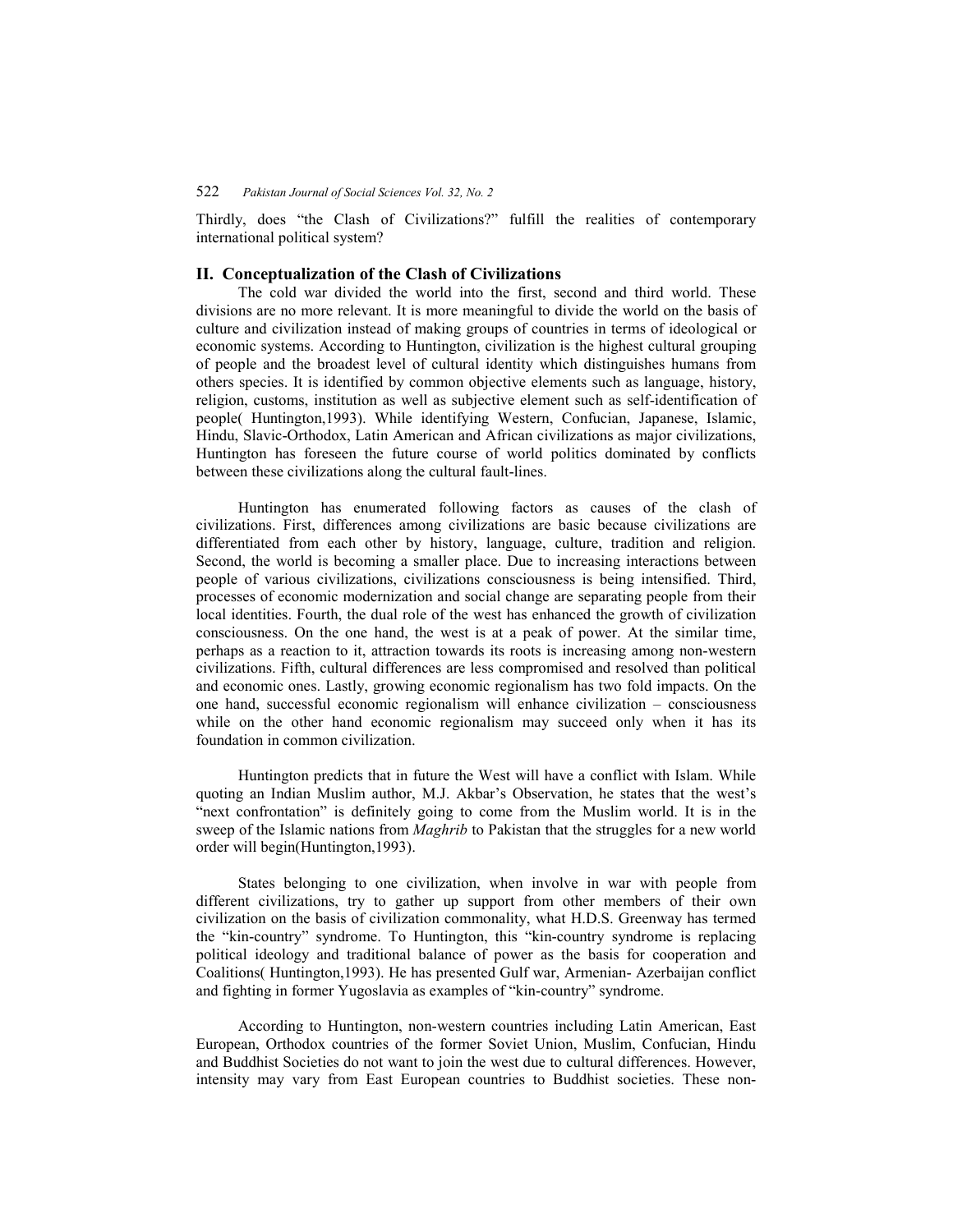# 522 *Pakistan Journal of Social Sciences Vol. 32, No. 2*

Thirdly, does "the Clash of Civilizations?" fulfill the realities of contemporary international political system?

# **II. Conceptualization of the Clash of Civilizations**

 The cold war divided the world into the first, second and third world. These divisions are no more relevant. It is more meaningful to divide the world on the basis of culture and civilization instead of making groups of countries in terms of ideological or economic systems. According to Huntington, civilization is the highest cultural grouping of people and the broadest level of cultural identity which distinguishes humans from others species. It is identified by common objective elements such as language, history, religion, customs, institution as well as subjective element such as self-identification of people( Huntington,1993). While identifying Western, Confucian, Japanese, Islamic, Hindu, Slavic-Orthodox, Latin American and African civilizations as major civilizations, Huntington has foreseen the future course of world politics dominated by conflicts between these civilizations along the cultural fault-lines.

 Huntington has enumerated following factors as causes of the clash of civilizations. First, differences among civilizations are basic because civilizations are differentiated from each other by history, language, culture, tradition and religion. Second, the world is becoming a smaller place. Due to increasing interactions between people of various civilizations, civilizations consciousness is being intensified. Third, processes of economic modernization and social change are separating people from their local identities. Fourth, the dual role of the west has enhanced the growth of civilization consciousness. On the one hand, the west is at a peak of power. At the similar time, perhaps as a reaction to it, attraction towards its roots is increasing among non-western civilizations. Fifth, cultural differences are less compromised and resolved than political and economic ones. Lastly, growing economic regionalism has two fold impacts. On the one hand, successful economic regionalism will enhance civilization – consciousness while on the other hand economic regionalism may succeed only when it has its foundation in common civilization.

 Huntington predicts that in future the West will have a conflict with Islam. While quoting an Indian Muslim author, M.J. Akbar's Observation, he states that the west's "next confrontation" is definitely going to come from the Muslim world. It is in the sweep of the Islamic nations from *Maghrib* to Pakistan that the struggles for a new world order will begin(Huntington,1993).

 States belonging to one civilization, when involve in war with people from different civilizations, try to gather up support from other members of their own civilization on the basis of civilization commonality, what H.D.S. Greenway has termed the "kin-country" syndrome. To Huntington, this "kin-country syndrome is replacing political ideology and traditional balance of power as the basis for cooperation and Coalitions( Huntington,1993). He has presented Gulf war, Armenian- Azerbaijan conflict and fighting in former Yugoslavia as examples of "kin-country" syndrome.

 According to Huntington, non-western countries including Latin American, East European, Orthodox countries of the former Soviet Union, Muslim, Confucian, Hindu and Buddhist Societies do not want to join the west due to cultural differences. However, intensity may vary from East European countries to Buddhist societies. These non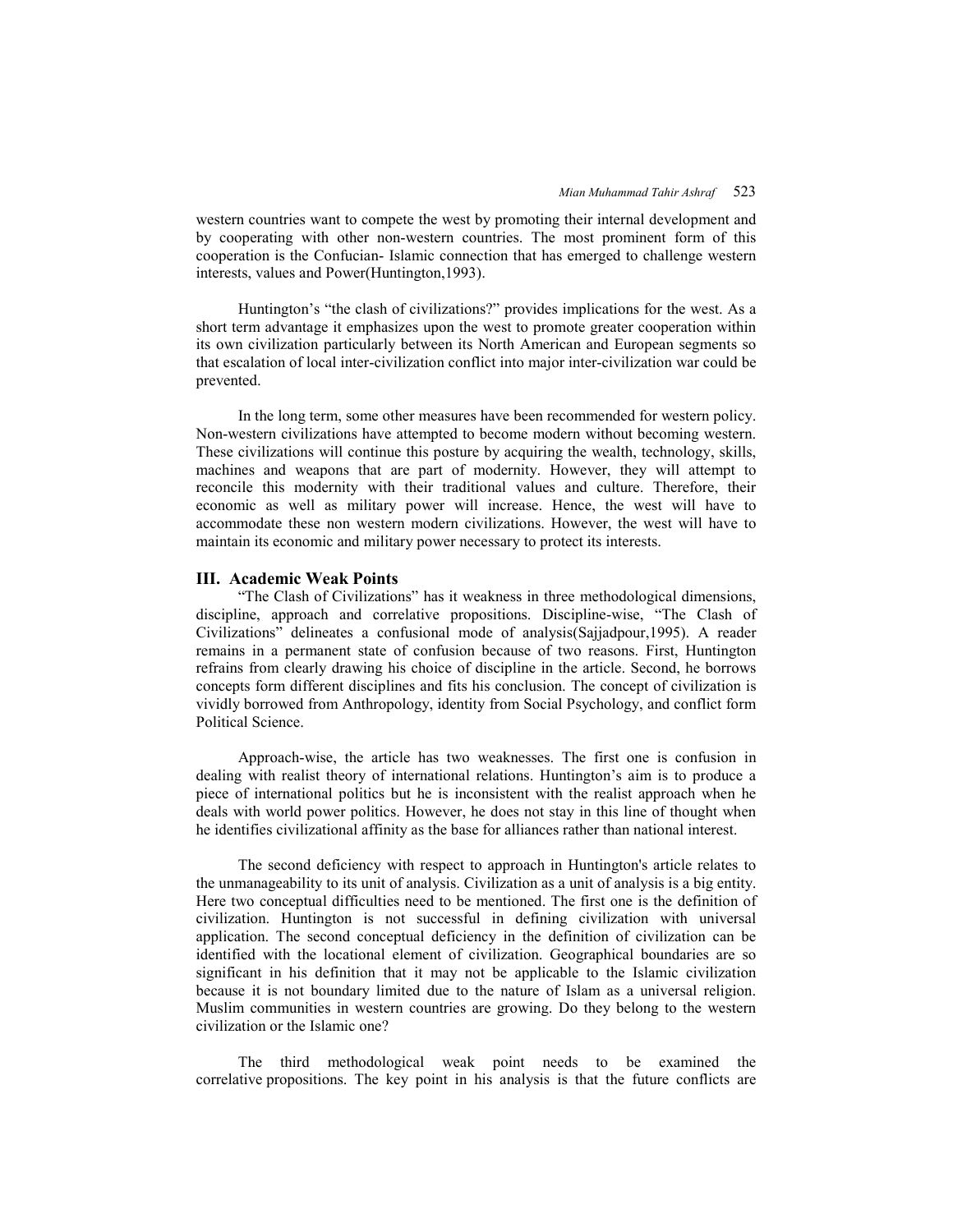western countries want to compete the west by promoting their internal development and by cooperating with other non-western countries. The most prominent form of this cooperation is the Confucian- Islamic connection that has emerged to challenge western interests, values and Power(Huntington,1993).

 Huntington's "the clash of civilizations?" provides implications for the west. As a short term advantage it emphasizes upon the west to promote greater cooperation within its own civilization particularly between its North American and European segments so that escalation of local inter-civilization conflict into major inter-civilization war could be prevented.

 In the long term, some other measures have been recommended for western policy. Non-western civilizations have attempted to become modern without becoming western. These civilizations will continue this posture by acquiring the wealth, technology, skills, machines and weapons that are part of modernity. However, they will attempt to reconcile this modernity with their traditional values and culture. Therefore, their economic as well as military power will increase. Hence, the west will have to accommodate these non western modern civilizations. However, the west will have to maintain its economic and military power necessary to protect its interests.

#### **III. Academic Weak Points**

 "The Clash of Civilizations" has it weakness in three methodological dimensions, discipline, approach and correlative propositions. Discipline-wise, "The Clash of Civilizations" delineates a confusional mode of analysis(Sajjadpour,1995). A reader remains in a permanent state of confusion because of two reasons. First, Huntington refrains from clearly drawing his choice of discipline in the article. Second, he borrows concepts form different disciplines and fits his conclusion. The concept of civilization is vividly borrowed from Anthropology, identity from Social Psychology, and conflict form Political Science.

 Approach-wise, the article has two weaknesses. The first one is confusion in dealing with realist theory of international relations. Huntington's aim is to produce a piece of international politics but he is inconsistent with the realist approach when he deals with world power politics. However, he does not stay in this line of thought when he identifies civilizational affinity as the base for alliances rather than national interest.

 The second deficiency with respect to approach in Huntington's article relates to the unmanageability to its unit of analysis. Civilization as a unit of analysis is a big entity. Here two conceptual difficulties need to be mentioned. The first one is the definition of civilization. Huntington is not successful in defining civilization with universal application. The second conceptual deficiency in the definition of civilization can be identified with the locational element of civilization. Geographical boundaries are so significant in his definition that it may not be applicable to the Islamic civilization because it is not boundary limited due to the nature of Islam as a universal religion. Muslim communities in western countries are growing. Do they belong to the western civilization or the Islamic one?

 The third methodological weak point needs to be examined the correlative propositions. The key point in his analysis is that the future conflicts are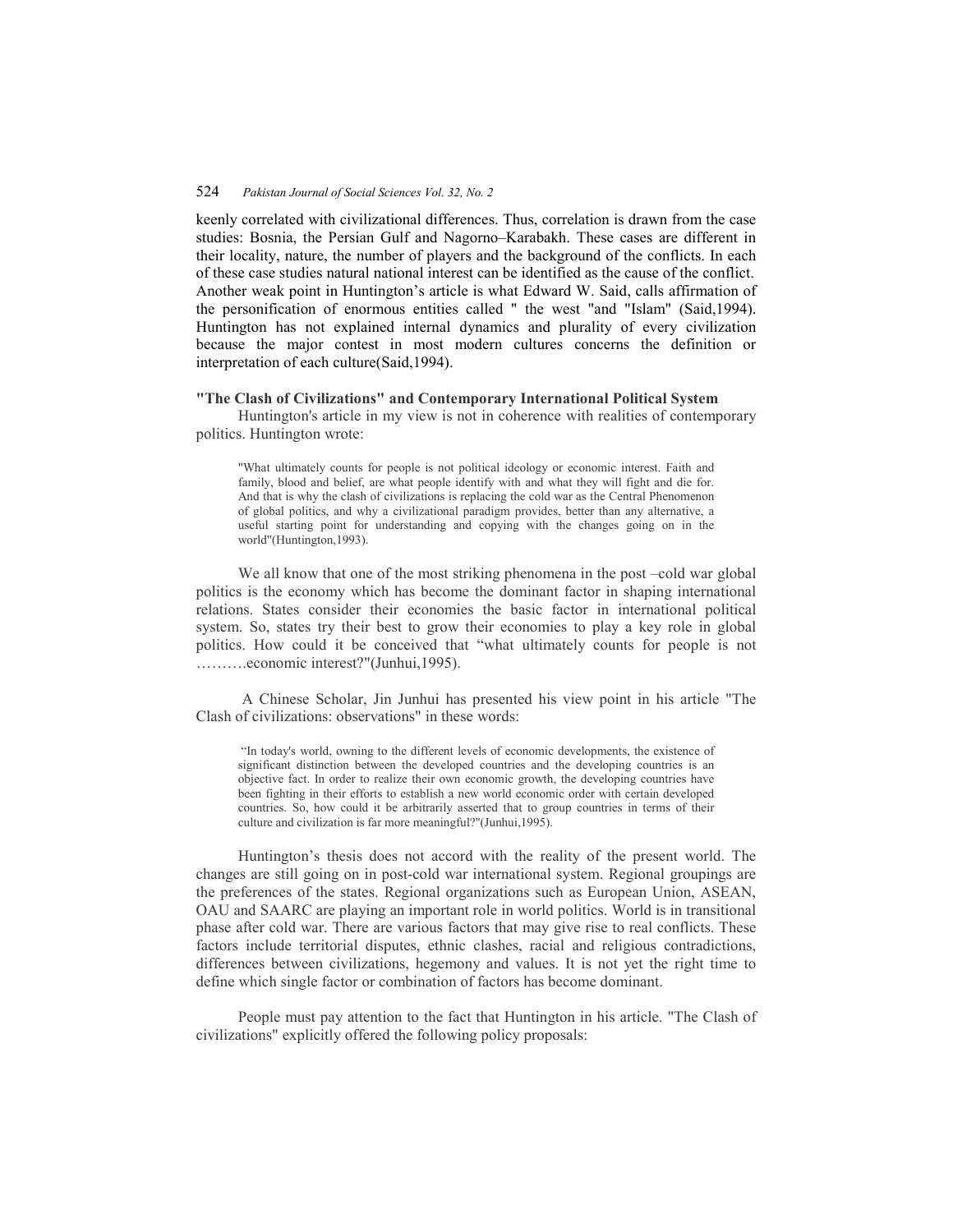# 524 *Pakistan Journal of Social Sciences Vol. 32, No. 2*

keenly correlated with civilizational differences. Thus, correlation is drawn from the case studies: Bosnia, the Persian Gulf and Nagorno–Karabakh. These cases are different in their locality, nature, the number of players and the background of the conflicts. In each of these case studies natural national interest can be identified as the cause of the conflict. Another weak point in Huntington's article is what Edward W. Said, calls affirmation of the personification of enormous entities called " the west "and "Islam" (Said,1994). Huntington has not explained internal dynamics and plurality of every civilization because the major contest in most modern cultures concerns the definition or interpretation of each culture(Said,1994).

### **"The Clash of Civilizations" and Contemporary International Political System**

 Huntington's article in my view is not in coherence with realities of contemporary politics. Huntington wrote:

"What ultimately counts for people is not political ideology or economic interest. Faith and family, blood and belief, are what people identify with and what they will fight and die for. And that is why the clash of civilizations is replacing the cold war as the Central Phenomenon of global politics, and why a civilizational paradigm provides, better than any alternative, a useful starting point for understanding and copying with the changes going on in the world"(Huntington,1993).

We all know that one of the most striking phenomena in the post –cold war global politics is the economy which has become the dominant factor in shaping international relations. States consider their economies the basic factor in international political system. So, states try their best to grow their economies to play a key role in global politics. How could it be conceived that "what ultimately counts for people is not ……….economic interest?"(Junhui,1995).

 A Chinese Scholar, Jin Junhui has presented his view point in his article "The Clash of civilizations: observations" in these words:

 "In today's world, owning to the different levels of economic developments, the existence of significant distinction between the developed countries and the developing countries is an objective fact. In order to realize their own economic growth, the developing countries have been fighting in their efforts to establish a new world economic order with certain developed countries. So, how could it be arbitrarily asserted that to group countries in terms of their culture and civilization is far more meaningful?"(Junhui,1995).

 Huntington's thesis does not accord with the reality of the present world. The changes are still going on in post-cold war international system. Regional groupings are the preferences of the states. Regional organizations such as European Union, ASEAN, OAU and SAARC are playing an important role in world politics. World is in transitional phase after cold war. There are various factors that may give rise to real conflicts. These factors include territorial disputes, ethnic clashes, racial and religious contradictions, differences between civilizations, hegemony and values. It is not yet the right time to define which single factor or combination of factors has become dominant.

 People must pay attention to the fact that Huntington in his article. "The Clash of civilizations" explicitly offered the following policy proposals: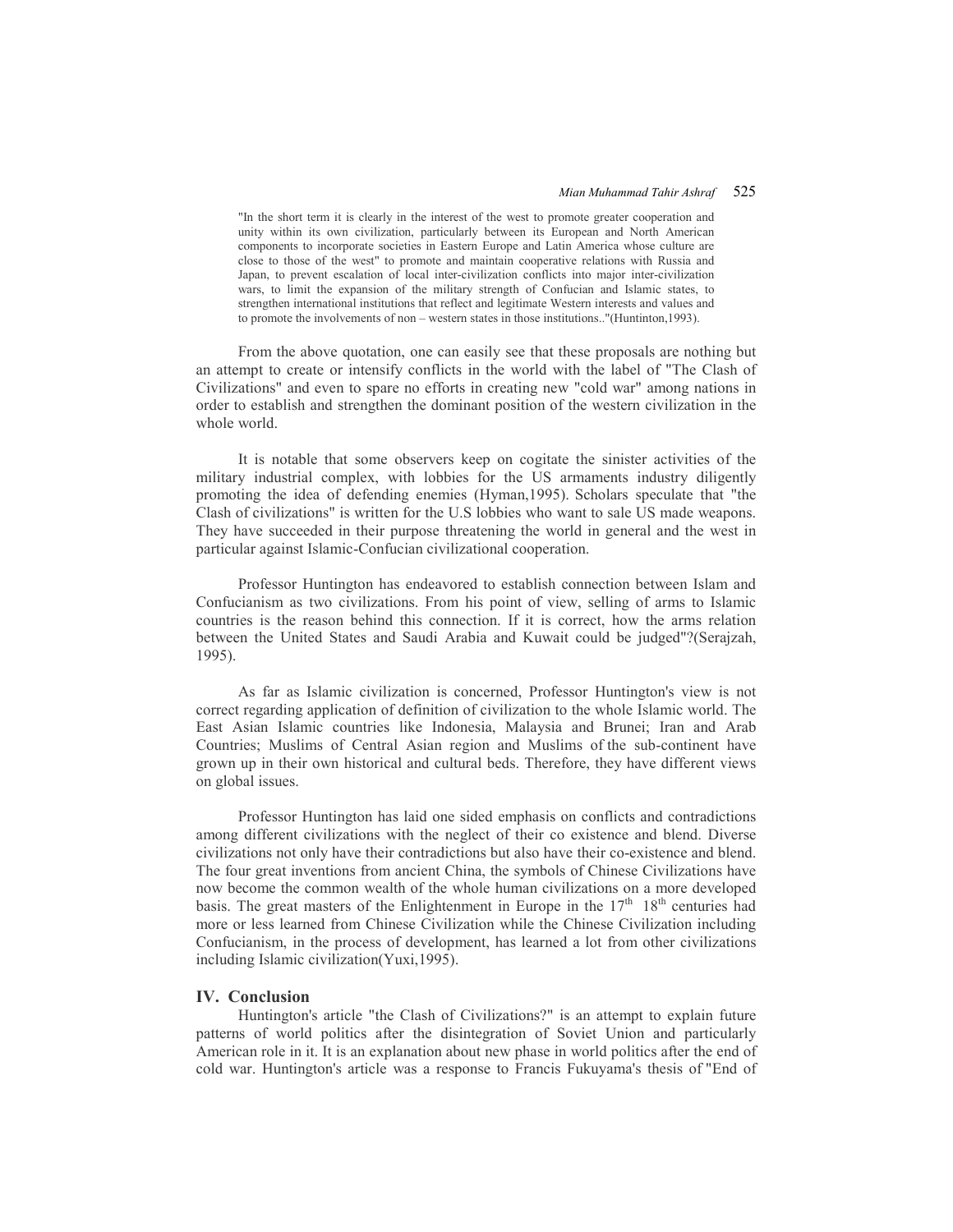#### *Mian Muhammad Tahir Ashraf* 525

"In the short term it is clearly in the interest of the west to promote greater cooperation and unity within its own civilization, particularly between its European and North American components to incorporate societies in Eastern Europe and Latin America whose culture are close to those of the west" to promote and maintain cooperative relations with Russia and Japan, to prevent escalation of local inter-civilization conflicts into major inter-civilization wars, to limit the expansion of the military strength of Confucian and Islamic states, to strengthen international institutions that reflect and legitimate Western interests and values and to promote the involvements of non – western states in those institutions.."(Huntinton,1993).

 From the above quotation, one can easily see that these proposals are nothing but an attempt to create or intensify conflicts in the world with the label of "The Clash of Civilizations" and even to spare no efforts in creating new "cold war" among nations in order to establish and strengthen the dominant position of the western civilization in the whole world.

 It is notable that some observers keep on cogitate the sinister activities of the military industrial complex, with lobbies for the US armaments industry diligently promoting the idea of defending enemies (Hyman,1995). Scholars speculate that "the Clash of civilizations" is written for the U.S lobbies who want to sale US made weapons. They have succeeded in their purpose threatening the world in general and the west in particular against Islamic-Confucian civilizational cooperation.

 Professor Huntington has endeavored to establish connection between Islam and Confucianism as two civilizations. From his point of view, selling of arms to Islamic countries is the reason behind this connection. If it is correct, how the arms relation between the United States and Saudi Arabia and Kuwait could be judged"?(Serajzah, 1995).

 As far as Islamic civilization is concerned, Professor Huntington's view is not correct regarding application of definition of civilization to the whole Islamic world. The East Asian Islamic countries like Indonesia, Malaysia and Brunei; Iran and Arab Countries; Muslims of Central Asian region and Muslims of the sub-continent have grown up in their own historical and cultural beds. Therefore, they have different views on global issues.

 Professor Huntington has laid one sided emphasis on conflicts and contradictions among different civilizations with the neglect of their co existence and blend. Diverse civilizations not only have their contradictions but also have their co-existence and blend. The four great inventions from ancient China, the symbols of Chinese Civilizations have now become the common wealth of the whole human civilizations on a more developed basis. The great masters of the Enlightenment in Europe in the  $17<sup>th</sup> 18<sup>th</sup>$  centuries had more or less learned from Chinese Civilization while the Chinese Civilization including Confucianism, in the process of development, has learned a lot from other civilizations including Islamic civilization(Yuxi,1995).

### **IV. Conclusion**

 Huntington's article "the Clash of Civilizations?" is an attempt to explain future patterns of world politics after the disintegration of Soviet Union and particularly American role in it. It is an explanation about new phase in world politics after the end of cold war. Huntington's article was a response to Francis Fukuyama's thesis of "End of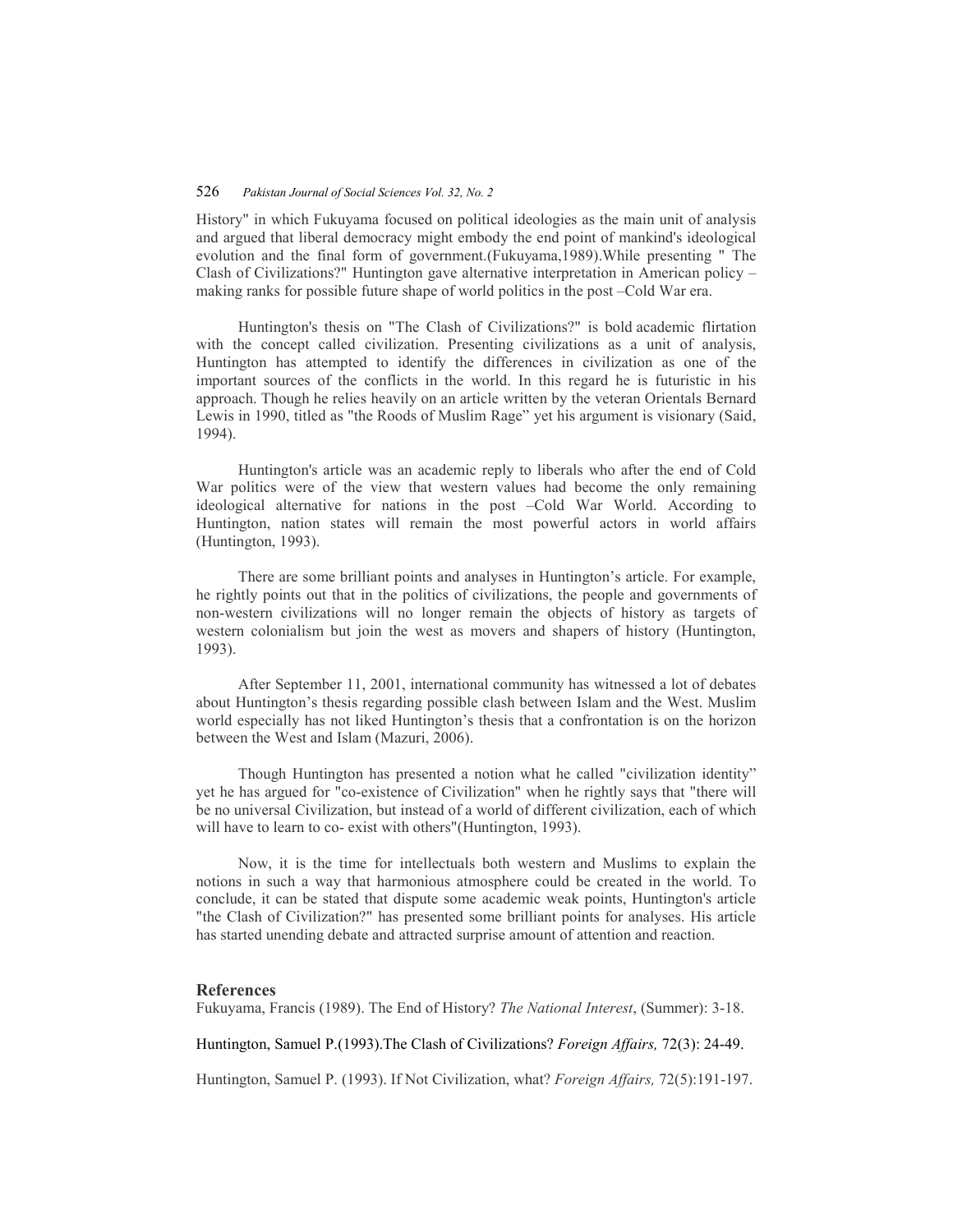# 526 *Pakistan Journal of Social Sciences Vol. 32, No. 2*

History" in which Fukuyama focused on political ideologies as the main unit of analysis and argued that liberal democracy might embody the end point of mankind's ideological evolution and the final form of government.(Fukuyama,1989).While presenting " The Clash of Civilizations?" Huntington gave alternative interpretation in American policy – making ranks for possible future shape of world politics in the post –Cold War era.

 Huntington's thesis on "The Clash of Civilizations?" is bold academic flirtation with the concept called civilization. Presenting civilizations as a unit of analysis, Huntington has attempted to identify the differences in civilization as one of the important sources of the conflicts in the world. In this regard he is futuristic in his approach. Though he relies heavily on an article written by the veteran Orientals Bernard Lewis in 1990, titled as "the Roods of Muslim Rage" yet his argument is visionary (Said, 1994).

 Huntington's article was an academic reply to liberals who after the end of Cold War politics were of the view that western values had become the only remaining ideological alternative for nations in the post –Cold War World. According to Huntington, nation states will remain the most powerful actors in world affairs (Huntington, 1993).

 There are some brilliant points and analyses in Huntington's article. For example, he rightly points out that in the politics of civilizations, the people and governments of non-western civilizations will no longer remain the objects of history as targets of western colonialism but join the west as movers and shapers of history (Huntington, 1993).

 After September 11, 2001, international community has witnessed a lot of debates about Huntington's thesis regarding possible clash between Islam and the West. Muslim world especially has not liked Huntington's thesis that a confrontation is on the horizon between the West and Islam (Mazuri, 2006).

 Though Huntington has presented a notion what he called "civilization identity" yet he has argued for "co-existence of Civilization" when he rightly says that "there will be no universal Civilization, but instead of a world of different civilization, each of which will have to learn to co- exist with others" (Huntington, 1993).

 Now, it is the time for intellectuals both western and Muslims to explain the notions in such a way that harmonious atmosphere could be created in the world. To conclude, it can be stated that dispute some academic weak points, Huntington's article "the Clash of Civilization?" has presented some brilliant points for analyses. His article has started unending debate and attracted surprise amount of attention and reaction.

#### **References**

Fukuyama, Francis (1989). The End of History? *The National Interest*, (Summer): 3-18.

Huntington, Samuel P.(1993).The Clash of Civilizations? *Foreign Affairs,* 72(3): 24-49.

Huntington, Samuel P. (1993). If Not Civilization, what? *Foreign Affairs,* 72(5):191-197.